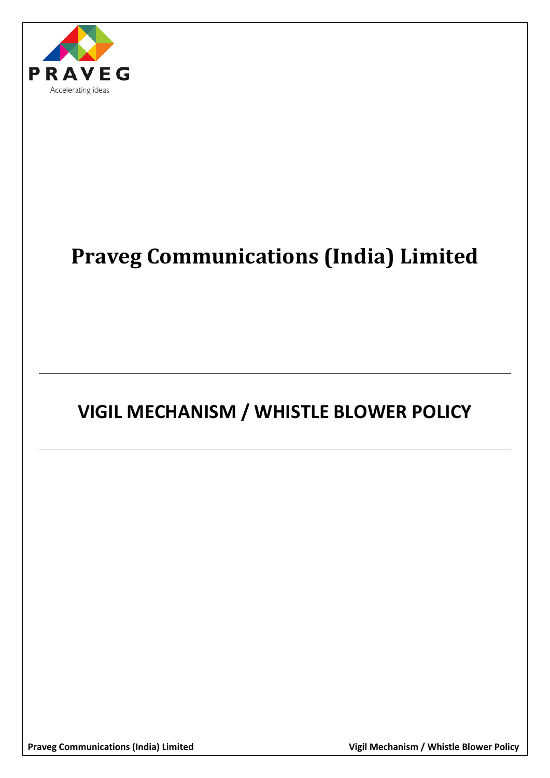

# **Praveg Communications (India) Limited**

# **VIGIL MECHANISM / WHISTLE BLOWER POLICY**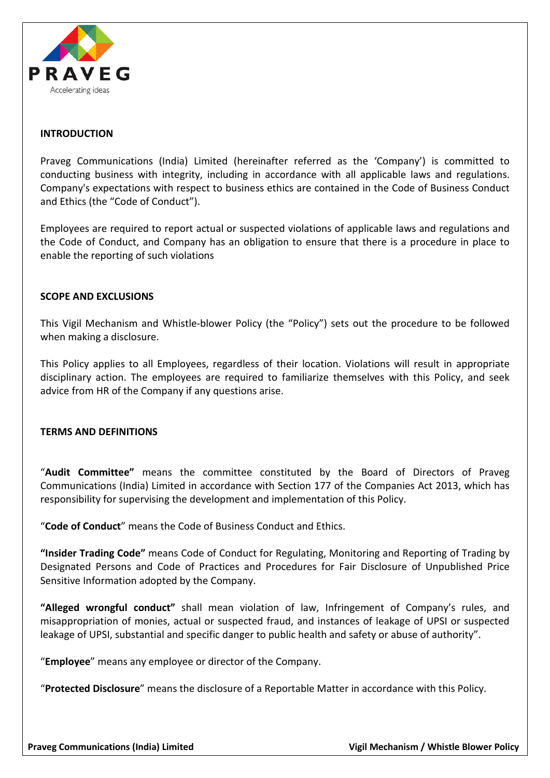

# **INTRODUCTION**

Praveg Communications (India) Limited (hereinafter referred as the 'Company') is committed to conducting business with integrity, including in accordance with all applicable laws and regulations. Company's expectations with respect to business ethics are contained in the Code of Business Conduct and Ethics (the "Code of Conduct").

Employees are required to report actual or suspected violations of applicable laws and regulations and the Code of Conduct, and Company has an obligation to ensure that there is a procedure in place to enable the reporting of such violations

# **SCOPE AND EXCLUSIONS**

This Vigil Mechanism and Whistle-blower Policy (the "Policy") sets out the procedure to be followed when making a disclosure.

This Policy applies to all Employees, regardless of their location. Violations will result in appropriate disciplinary action. The employees are required to familiarize themselves with this Policy, and seek advice from HR of the Company if any questions arise.

# **TERMS AND DEFINITIONS**

"**Audit Committee"** means the committee constituted by the Board of Directors of Praveg Communications (India) Limited in accordance with Section 177 of the Companies Act 2013, which has responsibility for supervising the development and implementation of this Policy.

"**Code of Conduct**" means the Code of Business Conduct and Ethics.

**"Insider Trading Code"** means Code of Conduct for Regulating, Monitoring and Reporting of Trading by Designated Persons and Code of Practices and Procedures for Fair Disclosure of Unpublished Price Sensitive Information adopted by the Company.

**"Alleged wrongful conduct"** shall mean violation of law, Infringement of Company's rules, and misappropriation of monies, actual or suspected fraud, and instances of leakage of UPSI or suspected leakage of UPSI, substantial and specific danger to public health and safety or abuse of authority".

"**Employee**" means any employee or director of the Company.

"**Protected Disclosure**" means the disclosure of a Reportable Matter in accordance with this Policy.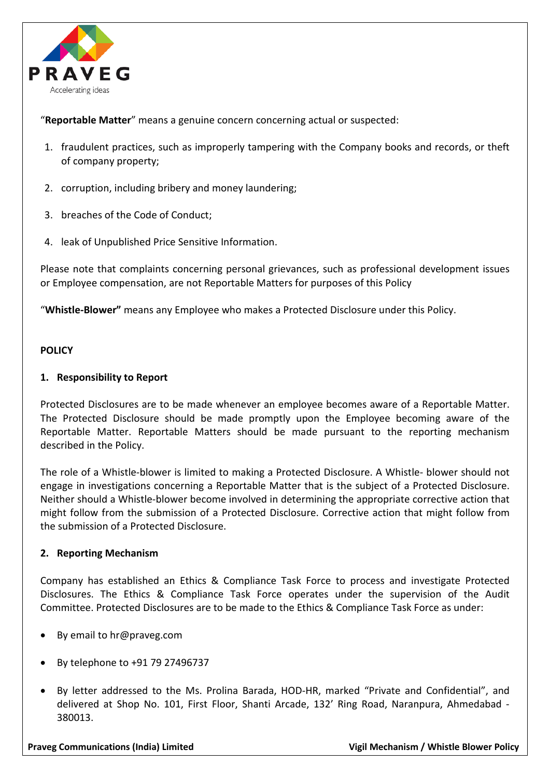

"**Reportable Matter**" means a genuine concern concerning actual or suspected:

- 1. fraudulent practices, such as improperly tampering with the Company books and records, or theft of company property;
- 2. corruption, including bribery and money laundering;
- 3. breaches of the Code of Conduct;
- 4. leak of Unpublished Price Sensitive Information.

Please note that complaints concerning personal grievances, such as professional development issues or Employee compensation, are not Reportable Matters for purposes of this Policy

"**Whistle-Blower"** means any Employee who makes a Protected Disclosure under this Policy.

# **POLICY**

# **1. Responsibility to Report**

Protected Disclosures are to be made whenever an employee becomes aware of a Reportable Matter. The Protected Disclosure should be made promptly upon the Employee becoming aware of the Reportable Matter. Reportable Matters should be made pursuant to the reporting mechanism described in the Policy.

The role of a Whistle-blower is limited to making a Protected Disclosure. A Whistle- blower should not engage in investigations concerning a Reportable Matter that is the subject of a Protected Disclosure. Neither should a Whistle-blower become involved in determining the appropriate corrective action that might follow from the submission of a Protected Disclosure. Corrective action that might follow from the submission of a Protected Disclosure.

# **2. Reporting Mechanism**

Company has established an Ethics & Compliance Task Force to process and investigate Protected Disclosures. The Ethics & Compliance Task Force operates under the supervision of the Audit Committee. Protected Disclosures are to be made to the Ethics & Compliance Task Force as under:

- By email to hr@praveg.com
- By telephone to +91 79 27496737
- By letter addressed to the Ms. Prolina Barada, HOD-HR, marked "Private and Confidential", and delivered at Shop No. 101, First Floor, Shanti Arcade, 132' Ring Road, Naranpura, Ahmedabad - 380013.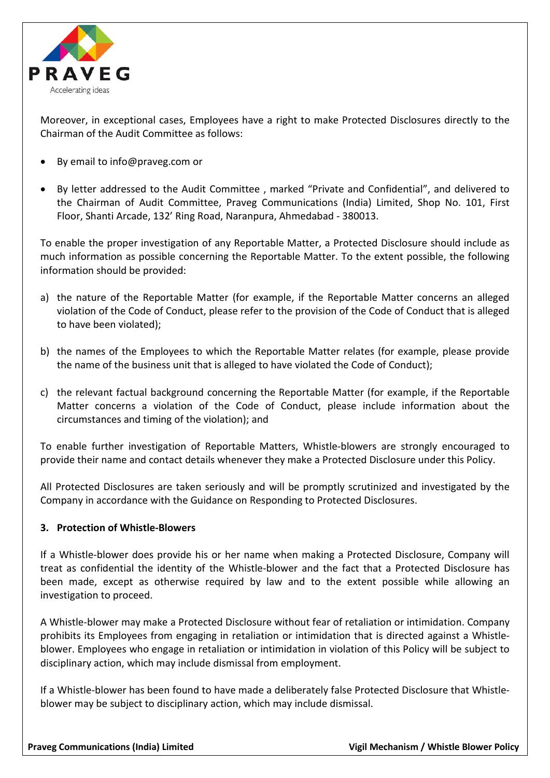

Moreover, in exceptional cases, Employees have a right to make Protected Disclosures directly to the Chairman of the Audit Committee as follows:

- By email to info@praveg.com or
- By letter addressed to the Audit Committee , marked "Private and Confidential", and delivered to the Chairman of Audit Committee, Praveg Communications (India) Limited, Shop No. 101, First Floor, Shanti Arcade, 132' Ring Road, Naranpura, Ahmedabad - 380013.

To enable the proper investigation of any Reportable Matter, a Protected Disclosure should include as much information as possible concerning the Reportable Matter. To the extent possible, the following information should be provided:

- a) the nature of the Reportable Matter (for example, if the Reportable Matter concerns an alleged violation of the Code of Conduct, please refer to the provision of the Code of Conduct that is alleged to have been violated);
- b) the names of the Employees to which the Reportable Matter relates (for example, please provide the name of the business unit that is alleged to have violated the Code of Conduct);
- c) the relevant factual background concerning the Reportable Matter (for example, if the Reportable Matter concerns a violation of the Code of Conduct, please include information about the circumstances and timing of the violation); and

To enable further investigation of Reportable Matters, Whistle-blowers are strongly encouraged to provide their name and contact details whenever they make a Protected Disclosure under this Policy.

All Protected Disclosures are taken seriously and will be promptly scrutinized and investigated by the Company in accordance with the Guidance on Responding to Protected Disclosures.

# **3. Protection of Whistle-Blowers**

If a Whistle-blower does provide his or her name when making a Protected Disclosure, Company will treat as confidential the identity of the Whistle-blower and the fact that a Protected Disclosure has been made, except as otherwise required by law and to the extent possible while allowing an investigation to proceed.

A Whistle-blower may make a Protected Disclosure without fear of retaliation or intimidation. Company prohibits its Employees from engaging in retaliation or intimidation that is directed against a Whistleblower. Employees who engage in retaliation or intimidation in violation of this Policy will be subject to disciplinary action, which may include dismissal from employment.

If a Whistle-blower has been found to have made a deliberately false Protected Disclosure that Whistleblower may be subject to disciplinary action, which may include dismissal.